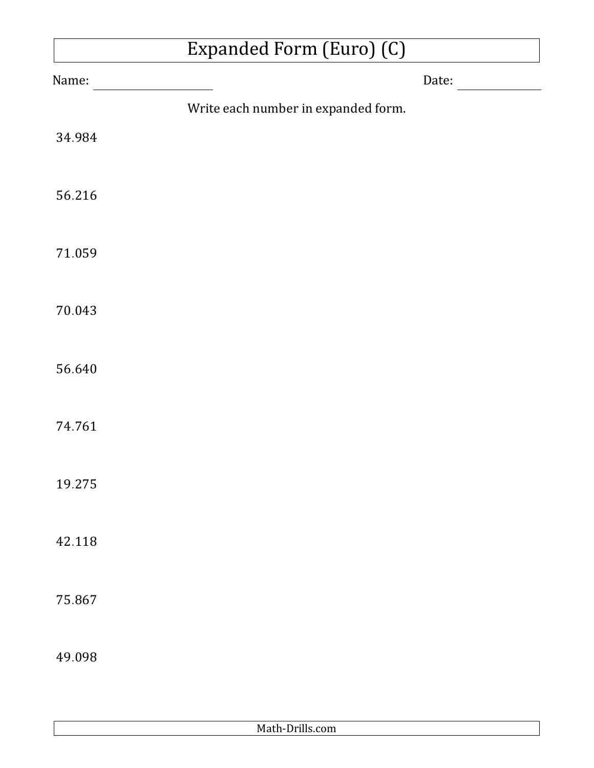## Expanded Form (Euro) (C)

| Name:  |                                     | Date: |
|--------|-------------------------------------|-------|
|        | Write each number in expanded form. |       |
| 34.984 |                                     |       |
| 56.216 |                                     |       |
| 71.059 |                                     |       |
| 70.043 |                                     |       |
| 56.640 |                                     |       |
| 74.761 |                                     |       |
| 19.275 |                                     |       |
| 42.118 |                                     |       |
| 75.867 |                                     |       |
| 49.098 |                                     |       |